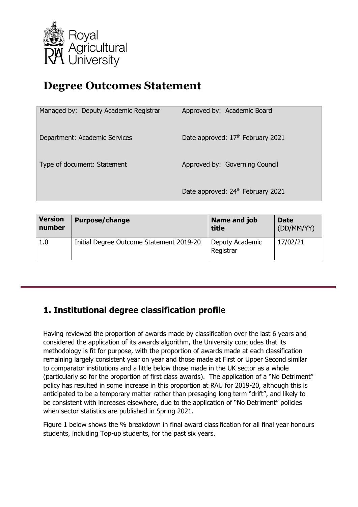

# **Degree Outcomes Statement**

| Managed by: Deputy Academic Registrar | Approved by: Academic Board       |
|---------------------------------------|-----------------------------------|
| Department: Academic Services         | Date approved: 17th February 2021 |
| Type of document: Statement           | Approved by: Governing Council    |
|                                       | Date approved: 24th February 2021 |

| <b>Version</b> | <b>Purpose/change</b>                    | Name and job                 | <b>Date</b> |
|----------------|------------------------------------------|------------------------------|-------------|
| number         |                                          | title                        | (DD/MM/YY)  |
| 1.0            | Initial Degree Outcome Statement 2019-20 | Deputy Academic<br>Registrar | 17/02/21    |

## **1. Institutional degree classification profil**e

Having reviewed the proportion of awards made by classification over the last 6 years and considered the application of its awards algorithm, the University concludes that its methodology is fit for purpose, with the proportion of awards made at each classification remaining largely consistent year on year and those made at First or Upper Second similar to comparator institutions and a little below those made in the UK sector as a whole (particularly so for the proportion of first class awards). The application of a "No Detriment" policy has resulted in some increase in this proportion at RAU for 2019-20, although this is anticipated to be a temporary matter rather than presaging long term "drift", and likely to be consistent with increases elsewhere, due to the application of "No Detriment" policies when sector statistics are published in Spring 2021.

Figure 1 below shows the % breakdown in final award classification for all final year honours students, including Top-up students, for the past six years.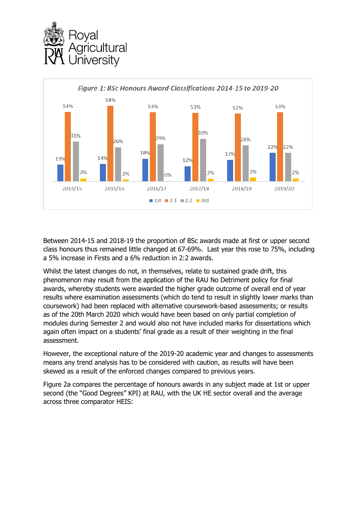



Between 2014-15 and 2018-19 the proportion of BSc awards made at first or upper second class honours thus remained little changed at 67-69%. Last year this rose to 75%, including a 5% increase in Firsts and a 6% reduction in 2:2 awards.

Whilst the latest changes do not, in themselves, relate to sustained grade drift, this phenomenon may result from the application of the RAU No Detriment policy for final awards, whereby students were awarded the higher grade outcome of overall end of year results where examination assessments (which do tend to result in slightly lower marks than coursework) had been replaced with alternative coursework-based assessments; or results as of the 20th March 2020 which would have been based on only partial completion of modules during Semester 2 and would also not have included marks for dissertations which again often impact on a students' final grade as a result of their weighting in the final assessment.

However, the exceptional nature of the 2019-20 academic year and changes to assessments means any trend analysis has to be considered with caution, as results will have been skewed as a result of the enforced changes compared to previous years.

Figure 2a compares the percentage of honours awards in any subject made at 1st or upper second (the "Good Degrees" KPI) at RAU, with the UK HE sector overall and the average across three comparator HEIS: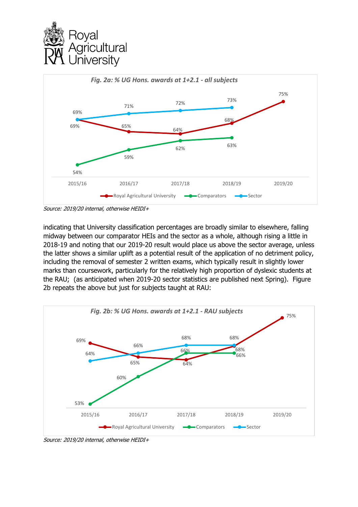



indicating that University classification percentages are broadly similar to elsewhere, falling midway between our comparator HEIs and the sector as a whole, although rising a little in 2018-19 and noting that our 2019-20 result would place us above the sector average, unless

the latter shows a similar uplift as a potential result of the application of no detriment policy, including the removal of semester 2 written exams, which typically result in slightly lower marks than coursework, particularly for the relatively high proportion of dyslexic students at the RAU; (as anticipated when 2019-20 sector statistics are published next Spring). Figure 2b repeats the above but just for subjects taught at RAU:



Source: 2019/20 internal, otherwise HEIDI+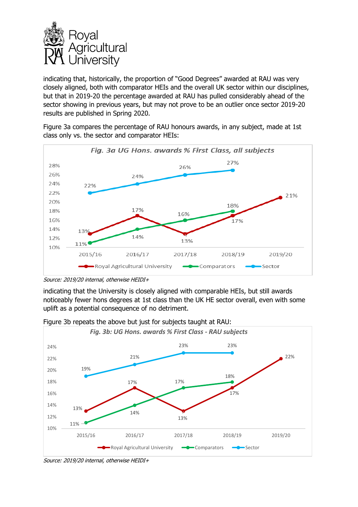

indicating that, historically, the proportion of "Good Degrees" awarded at RAU was very closely aligned, both with comparator HEIs and the overall UK sector within our disciplines, but that in 2019-20 the percentage awarded at RAU has pulled considerably ahead of the sector showing in previous years, but may not prove to be an outlier once sector 2019-20 results are published in Spring 2020.

Figure 3a compares the percentage of RAU honours awards, in any subject, made at 1st class only vs. the sector and comparator HEIs:



Source: 2019/20 internal, otherwise HEIDI+

indicating that the University is closely aligned with comparable HEIs, but still awards noticeably fewer hons degrees at 1st class than the UK HE sector overall, even with some uplift as a potential consequence of no detriment.



Figure 3b repeats the above but just for subjects taught at RAU:

Source: 2019/20 internal, otherwise HEIDI+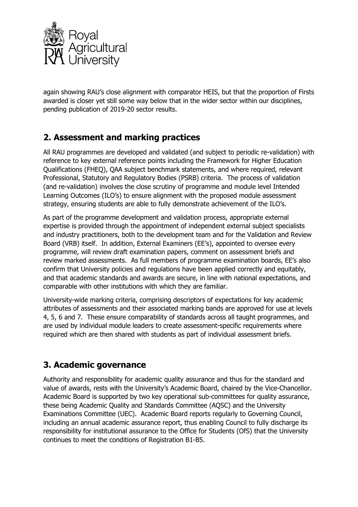![](_page_4_Picture_0.jpeg)

again showing RAU's close alignment with comparator HEIS, but that the proportion of Firsts awarded is closer yet still some way below that in the wider sector within our disciplines, pending publication of 2019-20 sector results.

## **2. Assessment and marking practices**

All RAU programmes are developed and validated (and subject to periodic re-validation) with reference to key external reference points including the Framework for Higher Education Qualifications (FHEQ), QAA subject benchmark statements, and where required, relevant Professional, Statutory and Regulatory Bodies (PSRB) criteria. The process of validation (and re-validation) involves the close scrutiny of programme and module level Intended Learning Outcomes (ILO's) to ensure alignment with the proposed module assessment strategy, ensuring students are able to fully demonstrate achievement of the ILO's.

As part of the programme development and validation process, appropriate external expertise is provided through the appointment of independent external subject specialists and industry practitioners, both to the development team and for the Validation and Review Board (VRB) itself. In addition, External Examiners (EE's), appointed to oversee every programme, will review draft examination papers, comment on assessment briefs and review marked assessments. As full members of programme examination boards, EE's also confirm that University policies and regulations have been applied correctly and equitably, and that academic standards and awards are secure, in line with national expectations, and comparable with other institutions with which they are familiar.

University-wide marking criteria, comprising descriptors of expectations for key academic attributes of assessments and their associated marking bands are approved for use at levels 4, 5, 6 and 7. These ensure comparability of standards across all taught programmes, and are used by individual module leaders to create assessment-specific requirements where required which are then shared with students as part of individual assessment briefs.

### **3. Academic governance**

Authority and responsibility for academic quality assurance and thus for the standard and value of awards, rests with the University's Academic Board, chaired by the Vice-Chancellor. Academic Board is supported by two key operational sub-committees for quality assurance, these being Academic Quality and Standards Committee (AQSC) and the University Examinations Committee (UEC). Academic Board reports regularly to Governing Council, including an annual academic assurance report, thus enabling Council to fully discharge its responsibility for institutional assurance to the Office for Students (OfS) that the University continues to meet the conditions of Registration B1-B5.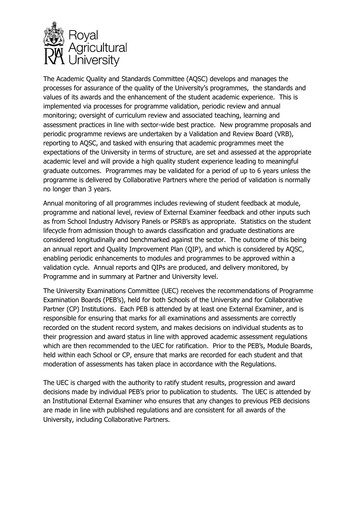![](_page_5_Picture_0.jpeg)

The Academic Quality and Standards Committee (AQSC) develops and manages the processes for assurance of the quality of the University's programmes, the standards and values of its awards and the enhancement of the student academic experience. This is implemented via processes for programme validation, periodic review and annual monitoring; oversight of curriculum review and associated teaching, learning and assessment practices in line with sector-wide best practice. New programme proposals and periodic programme reviews are undertaken by a Validation and Review Board (VRB), reporting to AQSC, and tasked with ensuring that academic programmes meet the expectations of the University in terms of structure, are set and assessed at the appropriate academic level and will provide a high quality student experience leading to meaningful graduate outcomes. Programmes may be validated for a period of up to 6 years unless the programme is delivered by Collaborative Partners where the period of validation is normally no longer than 3 years.

Annual monitoring of all programmes includes reviewing of student feedback at module, programme and national level, review of External Examiner feedback and other inputs such as from School Industry Advisory Panels or PSRB's as appropriate. Statistics on the student lifecycle from admission though to awards classification and graduate destinations are considered longitudinally and benchmarked against the sector. The outcome of this being an annual report and Quality Improvement Plan (QIP), and which is considered by AQSC, enabling periodic enhancements to modules and programmes to be approved within a validation cycle. Annual reports and QIPs are produced, and delivery monitored, by Programme and in summary at Partner and University level.

The University Examinations Committee (UEC) receives the recommendations of Programme Examination Boards (PEB's), held for both Schools of the University and for Collaborative Partner (CP) Institutions. Each PEB is attended by at least one External Examiner, and is responsible for ensuring that marks for all examinations and assessments are correctly recorded on the student record system, and makes decisions on individual students as to their progression and award status in line with approved academic assessment regulations which are then recommended to the UEC for ratification. Prior to the PEB's, Module Boards, held within each School or CP, ensure that marks are recorded for each student and that moderation of assessments has taken place in accordance with the Regulations.

The UEC is charged with the authority to ratify student results, progression and award decisions made by individual PEB's prior to publication to students. The UEC is attended by an Institutional External Examiner who ensures that any changes to previous PEB decisions are made in line with published regulations and are consistent for all awards of the University, including Collaborative Partners.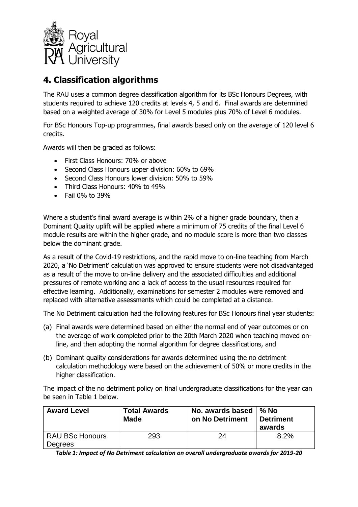![](_page_6_Picture_0.jpeg)

## **4. Classification algorithms**

The RAU uses a common degree classification algorithm for its BSc Honours Degrees, with students required to achieve 120 credits at levels 4, 5 and 6. Final awards are determined based on a weighted average of 30% for Level 5 modules plus 70% of Level 6 modules.

For BSc Honours Top-up programmes, final awards based only on the average of 120 level 6 credits.

Awards will then be graded as follows:

- First Class Honours: 70% or above
- Second Class Honours upper division: 60% to 69%
- Second Class Honours lower division: 50% to 59%
- Third Class Honours: 40% to 49%
- $\bullet$  Fail 0% to 39%

Where a student's final award average is within 2% of a higher grade boundary, then a Dominant Quality uplift will be applied where a minimum of 75 credits of the final Level 6 module results are within the higher grade, and no module score is more than two classes below the dominant grade.

As a result of the Covid-19 restrictions, and the rapid move to on-line teaching from March 2020, a 'No Detriment' calculation was approved to ensure students were not disadvantaged as a result of the move to on-line delivery and the associated difficulties and additional pressures of remote working and a lack of access to the usual resources required for effective learning. Additionally, examinations for semester 2 modules were removed and replaced with alternative assessments which could be completed at a distance.

The No Detriment calculation had the following features for BSc Honours final year students:

- (a) Final awards were determined based on either the normal end of year outcomes or on the average of work completed prior to the 20th March 2020 when teaching moved online, and then adopting the normal algorithm for degree classifications, and
- (b) Dominant quality considerations for awards determined using the no detriment calculation methodology were based on the achievement of 50% or more credits in the higher classification.

The impact of the no detriment policy on final undergraduate classifications for the year can be seen in Table 1 below.

| <b>Award Level</b>                | <b>Total Awards</b> | No. awards based $\frac{1}{6}$ No | <b>Detriment</b> |
|-----------------------------------|---------------------|-----------------------------------|------------------|
|                                   | <b>Made</b>         | on No Detriment                   | awards           |
| <b>RAU BSc Honours</b><br>Degrees | 293                 | 24                                | 8.2%             |

*Table 1: Impact of No Detriment calculation on overall undergraduate awards for 2019-20*